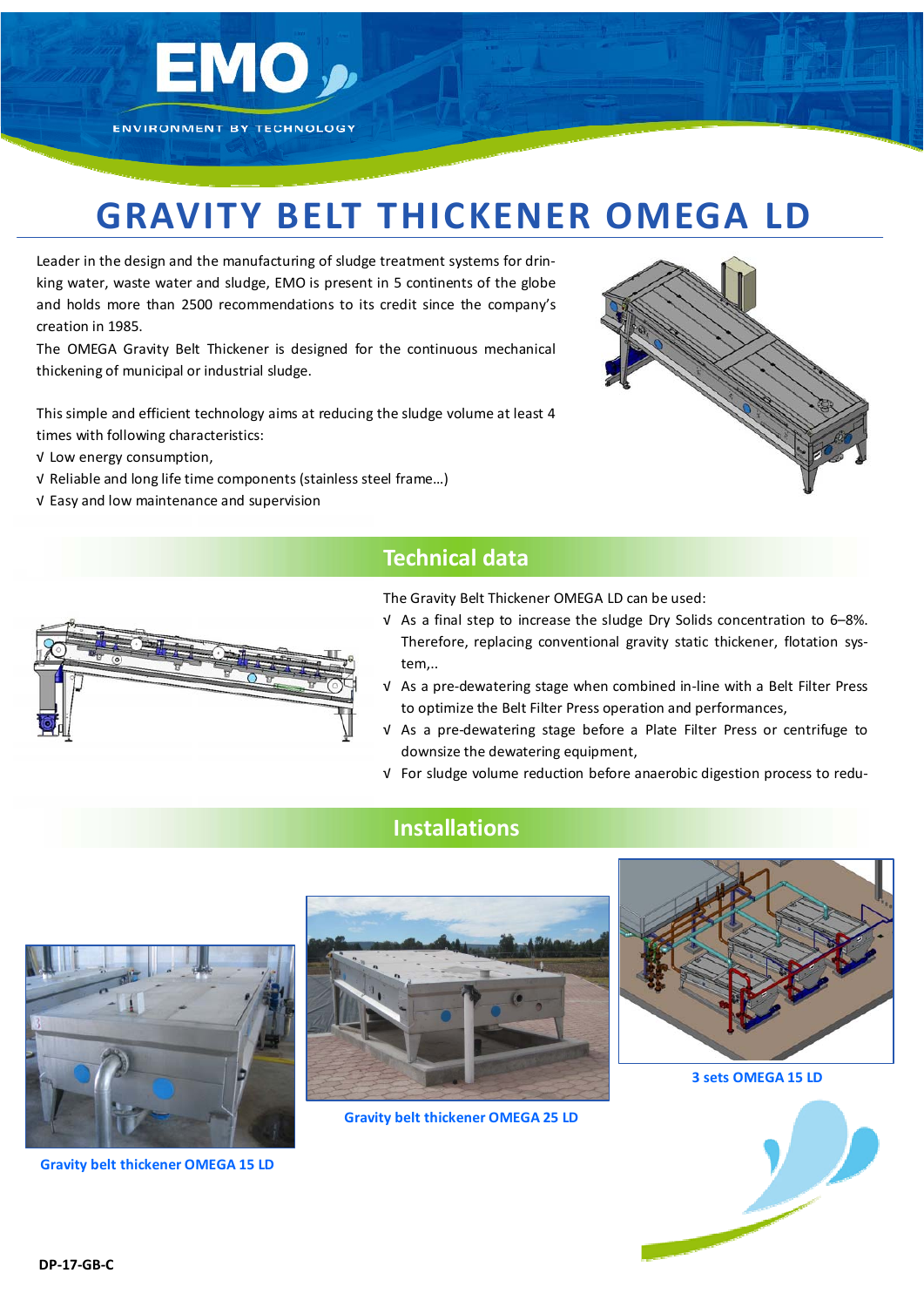

# **GRAVITY BELT THICKENER OMEGA LD**

Leader in the design and the manufacturing of sludge treatment systems for drin‐ king water, waste water and sludge, EMO is present in 5 continents of the globe and holds more than 2500 recommendations to its credit since the company's creation in 1985.

The OMEGA Gravity Belt Thickener is designed for the continuous mechanical thickening of municipal or industrial sludge.

This simple and efficient technology aims at reducing the sludge volume at least 4 times with following characteristics:

√ Low energy consumption,

- √ Reliable and long life time components (stainless steel frame…)
- √ Easy and low maintenance and supervision



#### **Technical data**

The Gravity Belt Thickener OMEGA LD can be used:

- √ As a final step to increase the sludge Dry Solids concentration to 6–8%. Therefore, replacing conventional gravity static thickener, flotation sys‐ tem,..
- √ As a pre‐dewatering stage when combined in‐line with a Belt Filter Press to optimize the Belt Filter Press operation and performances,
- √ As a pre‐dewatering stage before a Plate Filter Press or centrifuge to downsize the dewatering equipment,
- √ For sludge volume reduction before anaerobic digestion process to redu‐

## **Installations**



**Gravity belt thickener OMEGA 15 LD**



**Gravity belt thickener OMEGA 25 LD**



**3 sets OMEGA 15 LD**